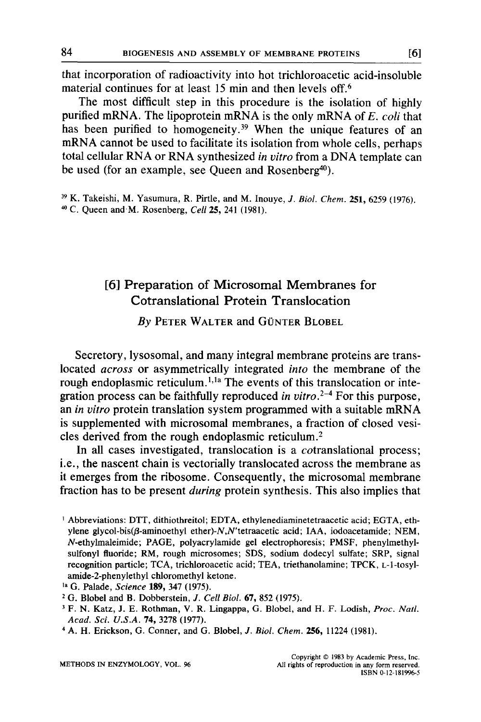that incorporation of radioactivity into hot trichloroacetic acid-insoluble material continues for at least 15 min and then levels off.<sup>6</sup>

The most difficult step in this procedure is the isolation of highly purified mRNA. The lipoprotein mRNA is the only mRNA of *E. coli* that has been purified to homogeneity.<sup>39</sup> When the unique features of an mRNA cannot be used to facilitate its isolation from whole cells, perhaps total cellular RNA or RNA synthesized *in vitro* from a DNA template can be used (for an example, see Queen and Rosenberg<sup>40</sup>).

39 K. Takeishi, M. Yasumura, R. Pirtle, and M. Inouye, *J. Biol. Chem.* 251, 6259 (1976). <sup>40</sup> C. Queen and M. Rosenberg, *Cell* **25**, 241 (1981).

# [6] Preparation of Microsomal Membranes for Cotranslational Protein Translocation

**By PETER WALTER and GÜNTER BLOBEL** 

Secretory, lysosomal, and many integral membrane proteins are translocated *across* or asymmetrically integrated *into* the membrane of the rough endoplasmic reticulum.<sup>1,1a</sup> The events of this translocation or integration process can be faithfully reproduced *in vitro. 2-4* For this purpose, an *in vitro* protein translation system programmed with a suitable mRNA is supplemented with microsomal membranes, a fraction of closed vesicles derived from the rough endoplasmic reticulum. 2

In all cases investigated, translocation is a cotranslational process; i.e., the nascent chain is vectorially translocated across the membrane as it emerges from the ribosome. Consequently, the microsomal membrane fraction has to be present *during* protein synthesis. This also implies that

<sup>1</sup> Abbreviations: DTT, dithiothreitol; EDTA, ethylenediaminetetraacetic acid; EGTA, ethylene glycol-bis(fl-aminoethyl *ether)-N,N'tetraacetic* acid; IAA, iodoacetamide; NEM, N-ethylmaleimide; PAGE, polyacrylamide gel electrophoresis; PMSF, phenylmethylsulfonyl fluoride; RM, rough microsomes; SDS, sodium dodecyl sulfate; SRP, signal recognition particle; TCA, trichloroacetic acid; TEA, triethanolamine; TPCK, L-l-tosylamide-2-phenylethyl chloromethyl ketone.

la G. Palade, *Science* 189, 347 (1975).

<sup>2</sup> G. Blobel and B. Dobberstein, *J. Cell Biol.* 67, 852 (1975).

<sup>3</sup> F. N. Katz, J. E. Rothman, V. R. Lingappa, G. Blobel, and H. F. Lodish, *Proc. Natl. Acad. Sci. U.S.A.* 74, 3278 (1977).

<sup>4</sup> A. H. Erickson, G. Conner, and G. Blobel, *J. Biol. Chem.* 256, 11224 (1981).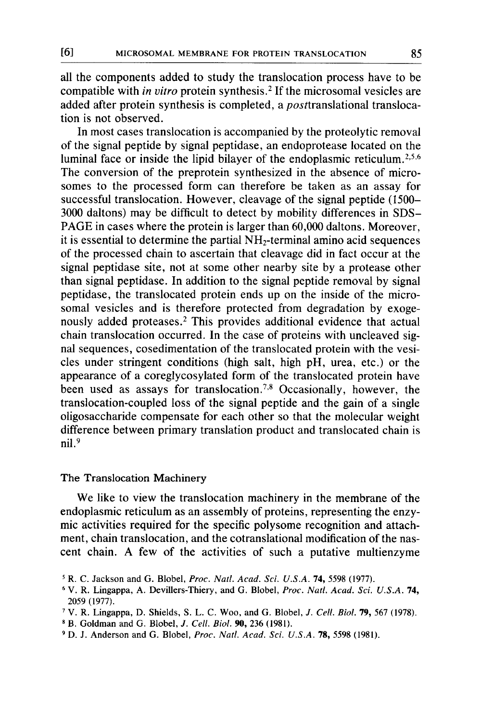all the components added to study the translocation process have to be compatible with *in vitro* protein synthesis.<sup>2</sup> If the microsomal vesicles are added after protein synthesis is completed, a *posttranslational* translocation is not observed.

In most cases translocation is accompanied by the proteolytic removal of the signal peptide by signal peptidase, an endoprotease located on the luminal face or inside the lipid bilayer of the endoplasmic reticulum.<sup>2,5,6</sup> The conversion of the preprotein synthesized in the absence of microsomes to the processed form can therefore be taken as an assay for successful translocation. However, cleavage of the signal peptide (1500- 3000 daltons) may be difficult to detect by mobility differences in SDS-PAGE in cases where the protein is larger than 60,000 daltons. Moreover, it is essential to determine the partial  $NH<sub>2</sub>$ -terminal amino acid sequences of the processed chain to ascertain that cleavage did in fact occur at the signal peptidase site, not at some other nearby site by a protease other than signal peptidase. In addition to the signal peptide removal by signal peptidase, the translocated protein ends up on the inside of the microsomal vesicles and is therefore protected from degradation by exogenously added proteases.<sup>2</sup> This provides additional evidence that actual chain translocation occurred. In the case of proteins with uncleaved signal sequences, cosedimentation of the translocated protein with the vesicles under stringent conditions (high salt, high pH, urea, etc.) or the appearance of a coreglycosylated form of the translocated protein have been used as assays for translocation.<sup>7,8</sup> Occasionally, however, the translocation-coupled loss of the signal peptide and the gain of a single oligosaccharide compensate for each other so that the molecular weight difference between primary translation product and translocated chain is nil. 9

## The Translocation Machinery

We like to view the translocation machinery in the membrane of the endoplasmic reticulum as an assembly of proteins, representing the enzymic activities required for the specific polysome recognition and attachment, chain translocation, and the cotranslational modification of the nascent chain. A few of the activities of such a putative multienzyme

7 V. R. Lingappa, D. Shields, S. L. C. Woo, and G. Blobel, *J. Cell. Biol.* 79, 567 (1978).

9 D. J. Anderson and G. Blobel, *Proc. Natl. Acad. Sci. U.S.A.* 78, 5598 (1981).

<sup>5</sup> R. C. Jackson and G. Blobel, *Proc. Natl. Acad. Sci. U.S.A.* 74, 5598 (1977).

<sup>6</sup> V. R. Lingappa, A. Devillers-Thiery, and G. Blobel, *Proc. Natl. Acad. Sci. U.S.A.* 74, 2059 (1977).

<sup>8</sup> B. Goldman and G. Blobel, *J. Cell. Biol. 90,* 236 (1981).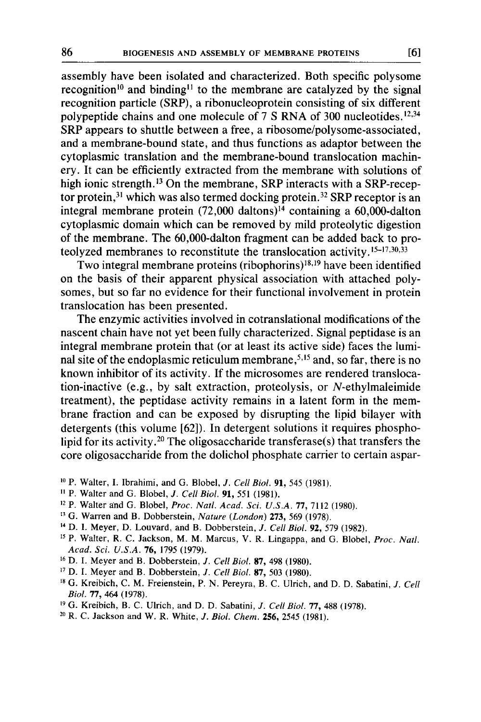assembly have been isolated and characterized. Both specific polysome recognition<sup>10</sup> and binding<sup>11</sup> to the membrane are catalyzed by the signal recognition particle (SRP), a ribonucleoprotein consisting of six different polypeptide chains and one molecule of 7 S RNA of 300 nucleotides.12,34 SRP appears to shuttle between a free, a ribosome/polysome-associated, and a membrane-bound state, and thus functions as adaptor between the cytoplasmic translation and the membrane-bound translocation machinery. It can be efficiently extracted from the membrane with solutions of high ionic strength.<sup>13</sup> On the membrane, SRP interacts with a SRP-receptor protein,  $31$  which was also termed docking protein.  $32$  SRP receptor is an integral membrane protein  $(72,000 \text{ daltons})^{14}$  containing a 60,000-dalton cytoplasmic domain which can be removed by mild proteolytic digestion of the membrane. The 60,000-dalton fragment can be added back to proteolyzed membranes to reconstitute the translocation activity.  $15-17,30,33$ 

Two integral membrane proteins (ribophorins) 18,19 have been identified on the basis of their apparent physical association with attached polysomes, but so far no evidence for their functional involvement in protein translocation has been presented.

The enzymic activities involved in cotranslational modifications of the nascent chain have not yet been fully characterized. Signal peptidase is an integral membrane protein that (or at least its active side) faces the luminal site of the endoplasmic reticulum membrane,  $5,15$  and, so far, there is no known inhibitor of its activity. If the microsomes are rendered translocation-inactive (e.g., by salt extraction, proteolysis, or N-ethylmaleimide treatment), the peptidase activity remains in a latent form in the membrane fraction and can be exposed by disrupting the lipid bilayer with detergents (this volume [62]). In detergent solutions it requires phospholipid for its activity.<sup>20</sup> The oligosaccharide transferase(s) that transfers the core oligosaccharide from the dolichol phosphate carrier to certain aspar-

- to p. Walter, I. Ibrahimi, and G. Blobel, *J. Cell Biol.* 91, 545 (1981).
- 11 p. Walter and G. Blobel, *J. Cell Biol.* 91, 551 (1981).
- 12 p. Walter and G. Blobel, *Proc. Natl. Acad. Sci. U.S.A.* 77, 71t2 (1980).
- 13 G. Warren and B. Dobberstein, *Nature (London)* 273, 569 (1978).
- 14 D. I. Meyer, D. Louvard, and B. Dobberstein, *J. Cell Biol.* 92, 579 (1982).
- 15 p. Walter, R. C. Jackson, M. M. Marcus, V. R. Lingappa, and G. Blobel, *Proc. Natl. Acad. Sci. U.S.A.* 76, 1795 (1979).
- 16 D. I. Meyer and B. Dobberstein, *J. Cell Biol.* 87, 498 (1980).
- 17 D. I. Meyer and B. Dobberstein, *J. Cell Biol.* 87, 503 (1980).
- 18 G. Kreibich, C. M. Freienstein, P. N. Pereyra, B. C. Ulrich, and D. D. Sabatini, *J. Cell Biol.* 77, 464 (1978).
- 19 G. Kreibich, B. C. Ulrich, and D. D. Sabatini, *J. Cell Biol.* 77, 488 (1978).
- 20 R. C. Jackson and W. R. White, *J. Biol. Chem.* 256, 2545 (1981).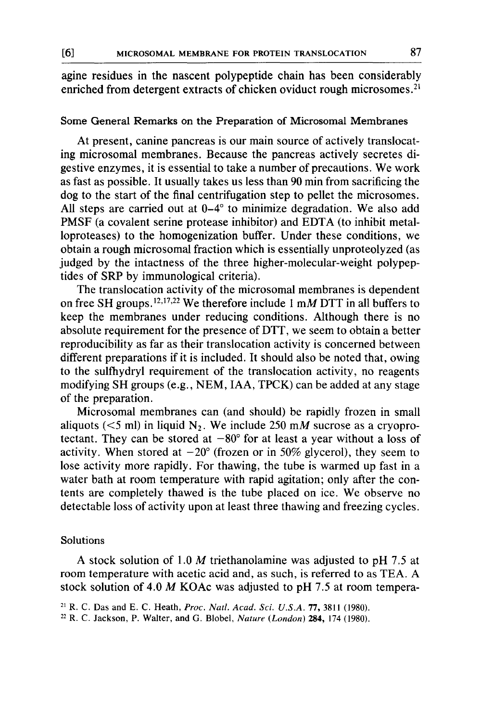agine residues in the nascent polypeptide chain has been considerably enriched from detergent extracts of chicken oviduct rough microsomes.<sup>21</sup>

#### Some General Remarks on the Preparation of Microsomal Membranes

At present, canine pancreas is our main source of actively translocating microsomal membranes. Because the pancreas actively secretes digestive enzymes, it is essential to take a number of precautions. We work as fast as possible. It usually takes us less than 90 min from sacrificing the dog to the start of the final centrifugation step to pellet the microsomes. All steps are carried out at  $0-4^\circ$  to minimize degradation. We also add PMSF (a covalent serine protease inhibitor) and EDTA (to inhibit metalloproteases) to the homogenization buffer. Under these conditions, we obtain a rough microsomal fraction which is essentially unproteolyzed (as judged by the intactness of the three higher-molecular-weight polypeptides of SRP by immunological criteria).

The translocation activity of the microsomal membranes is dependent on free SH groups.<sup>12,17,22</sup> We therefore include 1 mM DTT in all buffers to keep the membranes under reducing conditions. Although there is no absolute requirement for the presence of DTT, we seem to obtain a better reproducibility as far as their translocation activity is concerned between different preparations if it is included. It should also be noted that, owing to the sulfhydryl requirement of the translocation activity, no reagents modifying SH groups (e.g., NEM, IAA, TPCK) can be added at any stage of the preparation.

Microsomal membranes can (and should) be rapidly frozen in small aliquots ( $\leq$ 5 ml) in liquid N<sub>2</sub>. We include 250 mM sucrose as a cryoprotectant. They can be stored at  $-80^{\circ}$  for at least a year without a loss of activity. When stored at  $-20^{\circ}$  (frozen or in 50% glycerol), they seem to lose activity more rapidly. For thawing, the tube is warmed up fast in a water bath at room temperature with rapid agitation; only after the contents are completely thawed is the tube placed on ice. We observe no detectable loss of activity upon at least three thawing and freezing cycles.

## Solutions

A stock solution of 1.0 M triethanolamine was adjusted to pH 7.5 at room temperature with acetic acid and, as such, is referred to as TEA. A stock solution of 4.0 M KOAc was adjusted to pH 7.5 at room tempera-

<sup>21</sup> R. C. Das and E. C. Heath, *Proc. Natl. Acad. Sci. U.S.A.* 77, 3811 (1980).

<sup>22</sup> R. C. Jackson, P. Walter, and G. Blobel, *Nature (London)* 284, 174 (1980).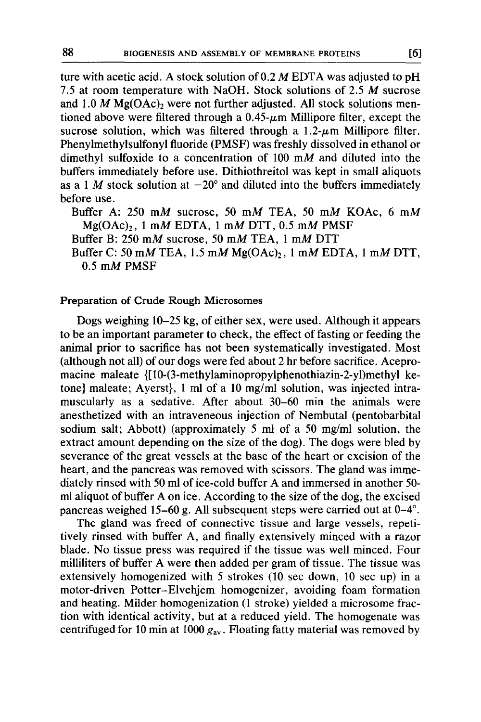ture with acetic acid. A stock solution of  $0.2 M$  EDTA was adjusted to pH 7.5 at room temperature with NaOH. Stock solutions of 2.5 M sucrose and 1.0  $M$  Mg(OAc), were not further adjusted. All stock solutions mentioned above were filtered through a  $0.45$ - $\mu$ m Millipore filter, except the sucrose solution, which was filtered through a  $1.2-\mu m$  Millipore filter. Phenylmethylsulfonyl fluoride (PMSF) was freshly dissolved in ethanol or dimethyl sulfoxide to a concentration of 100 mM and diluted into the buffers immediately before use. Dithiothreitol was kept in small aliquots as a 1 *M* stock solution at  $-20^{\circ}$  and diluted into the buffers immediately before use.

Buffer A: 250 mM sucrose, 50 mM TEA, 50 mM KOAc, 6 mM  $Mg(OAc)$ , 1 mM EDTA, 1 mM DTT, 0.5 mM PMSF

Buffer B: 250 mM sucrose, 50 mM TEA, 1 mM DTT

Buffer C: 50 mM TEA, 1.5 mM  $Mg(OAc)_2$ , 1 mM EDTA, 1 mM DTT, 0.5 mM PMSF

### Preparation of Crude Rough Microsomes

Dogs weighing 10-25 kg, of either sex, were used. Although it appears to be an important parameter to check, the effect of fasting or feeding the animal prior to sacrifice has not been systematically investigated. Most (although not all) of our dogs were fed about 2 hr before sacrifice. Acepromacine maleate {[10-(3-methylaminopropylphenothiazin-2-yl)methyl ketone] maleate; Ayerst}, 1 ml of a 10 mg/ml solution, was injected intramuscularly as a sedative. After about 30–60 min the animals were anesthetized with an intraveneous injection of Nembutal (pentobarbital sodium salt; Abbott) (approximately 5 ml of a 50 mg/ml solution, the extract amount depending on the size of the dog). The dogs were bled by severance of the great vessels at the base of the heart or excision of the heart, and the pancreas was removed with scissors. The gland was immediately rinsed with 50 ml of ice-cold buffer A and immersed in another 50 ml aliquot of buffer A on ice. According to the size of the dog, the excised pancreas weighed 15-60 g. All subsequent steps were carried out at 0-4°.

The gland was freed of connective tissue and large vessels, repetitively rinsed with buffer A, and finally extensively minced with a razor blade. No tissue press was required if the tissue was well minced. Four milliliters of buffer A were then added per gram of tissue. The tissue was extensively homogenized with 5 strokes (10 sec down, 10 sec up) in a motor-driven Potter-Elvehjem homogenizer, avoiding foam formation and heating. Milder homogenization (1 stroke) yielded a microsome fraction with identical activity, but at a reduced yield. The homogenate was centrifuged for 10 min at 1000  $g_{av}$ . Floating fatty material was removed by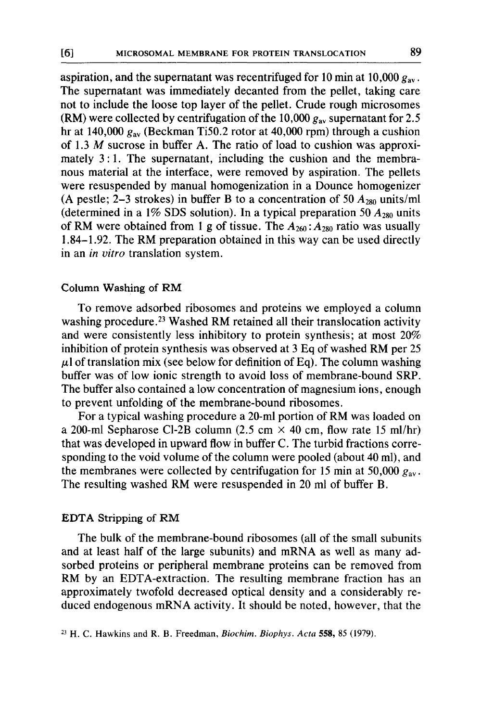aspiration, and the supernatant was recentrifuged for 10 min at 10,000  $g_{av}$ . The supernatant was immediately decanted from the pellet, taking care not to include the loose top layer of the pellet. Crude rough microsomes (RM) were collected by centrifugation of the 10,000  $g_{av}$  supernatant for 2.5 hr at 140,000  $g_{av}$  (Beckman Ti50.2 rotor at 40,000 rpm) through a cushion of 1.3 M sucrose in buffer A. The ratio of load to cushion was approximately 3:1. The supernatant, including the cushion and the membranous material at the interface, were removed by aspiration. The pellets were resuspended by manual homogenization in a Dounce homogenizer (A pestle; 2–3 strokes) in buffer B to a concentration of 50  $A_{280}$  units/ml (determined in a 1% SDS solution). In a typical preparation 50  $A_{280}$  units of RM were obtained from 1 g of tissue. The  $A_{260}$ :  $A_{280}$  ratio was usually 1.84-1.92. The RM preparation obtained in this way can be used directly in an *in vitro* translation system.

#### Column Washing of RM

To remove adsorbed ribosomes and proteins we employed a column washing procedure.<sup>23</sup> Washed RM retained all their translocation activity and were consistently less inhibitory to protein synthesis; at most 20% inhibition of protein synthesis was observed at 3 Eq of washed RM per 25  $\mu$ l of translation mix (see below for definition of Eq). The column washing buffer was of low ionic strength to avoid loss of membrane-bound SRP. The buffer also contained a low concentration of magnesium ions, enough to prevent unfolding of the membrane-bound ribosomes.

For a typical washing procedure a 20-ml portion of RM was loaded on a 200-ml Sepharose CI-2B column (2.5 cm  $\times$  40 cm, flow rate 15 ml/hr) that was developed in upward flow in buffer C. The turbid fractions corresponding to the void volume of the column were pooled (about 40 ml), and the membranes were collected by centrifugation for 15 min at 50,000  $g_{av}$ . The resulting washed RM were resuspended in 20 ml of buffer B.

## EDTA Stripping of RM

The bulk of the membrane-bound ribosomes (all of the small subunits and at least half of the large subunits) and mRNA as well as many adsorbed proteins or peripheral membrane proteins can be removed from RM by an EDTA-extraction. The resulting membrane fraction has an approximately twofold decreased optical density and a considerably reduced endogenous mRNA activity. It should be noted, however, that the

23 H. C. Hawkins and R. B. Freedman, *Biochim. Biophys. Acta* 558, 85 (1979).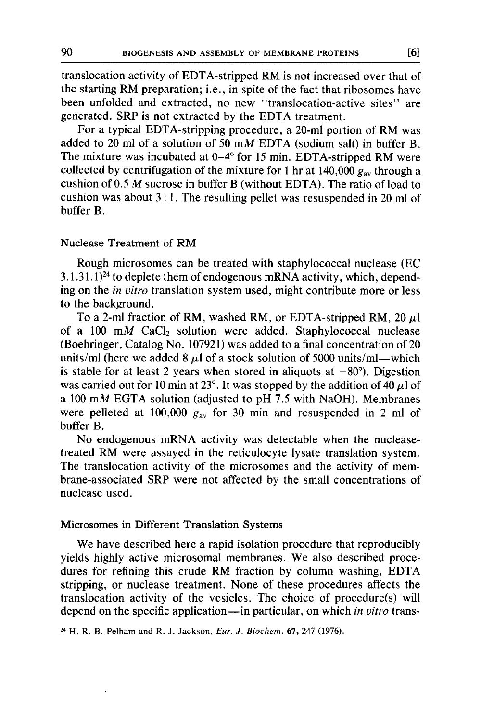translocation activity of EDTA-stripped RM is not increased over that of **the** starting RM preparation; i.e., in spite of the fact that ribosomes have been unfolded and extracted, no new "translocation-active sites" are generated. SRP is not extracted by the EDTA treatment.

For a typical EDTA-stripping procedure, a 20-ml portion of RM was added to 20 ml of a solution of 50 mM EDTA (sodium salt) in buffer B. The mixture was incubated at 0–4° for 15 min. EDTA-stripped RM were collected by centrifugation of the mixture for 1 hr at 140,000  $g_{av}$  through a cushion of 0.5 M sucrose in buffer B (without EDTA). The ratio of load to cushion was about  $3:1$ . The resulting pellet was resuspended in 20 ml of buffer B.

#### **Nuclease Treatment of RM**

Rough microsomes can be treated with staphylococcal nuclease (EC  $3.1.31.1$ <sup>24</sup> to deplete them of endogenous mRNA activity, which, depending on the *in vitro* translation system used, might contribute more or less to the background.

To a 2-ml fraction of RM, washed RM, or EDTA-stripped RM,  $20 \mu l$ of a 100 mM CaCl<sub>2</sub> solution were added. Staphylococcal nuclease (Boehringer, Catalog No. 107921) was added to a final concentration of 20 units/ml (here we added  $8~\mu$ l of a stock solution of 5000 units/ml—which is stable for at least 2 years when stored in aliquots at  $-80^{\circ}$ ). Digestion was carried out for 10 min at 23°. It was stopped by the addition of 40  $\mu$ l of a 100 mM EGTA solution (adjusted to pH 7.5 with NaOH). Membranes were pelleted at 100,000  $g_{av}$  for 30 min and resuspended in 2 ml of buffer B.

No endogenous mRNA activity was detectable when the nucleasetreated RM were assayed in the reticulocyte lysate translation system. The translocation activity of the microsomes and the activity of membrane-associated SRP were not affected by the small concentrations of nuclease used.

## Microsomes in Different Translation Systems

We have described here a rapid isolation procedure that reproducibly yields highly active microsomal membranes. We also described procedures for refining this crude RM fraction by column washing, EDTA stripping, or nuclease treatment. None of these procedures affects the translocation activity of the vesicles. The choice of procedure(s) will depend on the specific application--in particular, on which *in vitro* trans-

24 H. R. B. Pelham and R. J. Jackson, *Eur. J. Biochem.* 67, 247 (1976).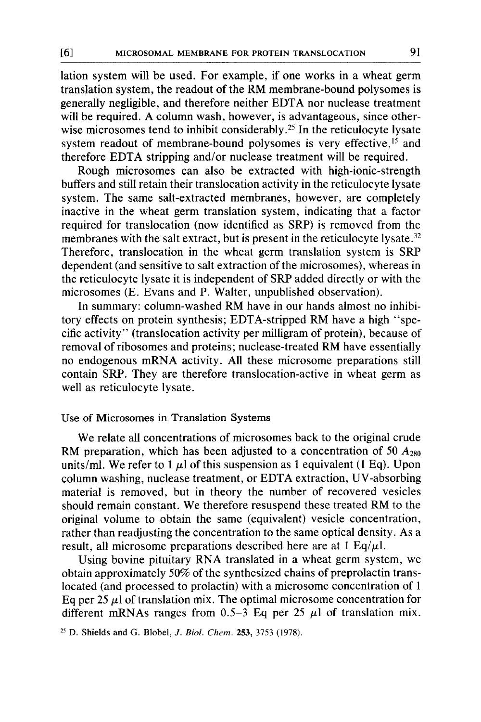lation system will be used. For example, if one works in a wheat germ translation system, the readout of the RM membrane-bound polysomes is generally negligible, and therefore neither EDTA nor nuclease treatment will be required. A column wash, however, is advantageous, since otherwise microsomes tend to inhibit considerably.<sup>25</sup> In the reticulocyte lysate system readout of membrane-bound polysomes is very effective,  $15$  and therefore EDTA stripping and/or nuclease treatment will be required.

Rough microsomes can also be extracted with high-ionic-strength buffers and still retain their translocation activity in the reticulocyte lysate system. The same salt-extracted membranes, however, are completely inactive in the wheat germ translation system, indicating that a factor required for translocation (now identified as SRP) is removed from the membranes with the salt extract, but is present in the reticulocyte lysate.<sup>32</sup> Therefore, translocation in the wheat germ translation system is SRP dependent (and sensitive to salt extraction of the microsomes), whereas in the reticulocyte lysate it is independent of SRP added directly or with the microsomes (E. Evans and P. Walter, unpublished observation).

In summary: column-washed RM have in our hands almost no inhibitory effects on protein synthesis; EDTA-stripped RM have a high "specific activity" (translocation activity per milligram of protein), because of removal of ribosomes and proteins; nuclease-treated RM have essentially no endogenous mRNA activity. All these microsome preparations still contain SRP. They are therefore translocation-active in wheat germ as well as reticulocyte lysate.

# Use of Microsomes in Translation Systems

We relate all concentrations of microsomes back to the original crude RM preparation, which has been adjusted to a concentration of 50  $A_{280}$ units/ml. We refer to 1  $\mu$ l of this suspension as 1 equivalent (1 Eq). Upon column washing, nuclease treatment, or EDTA extraction, UV-absorbing material is removed, but in theory the number of recovered vesicles should remain constant. We therefore resuspend these treated RM to the original volume to obtain the same (equivalent) vesicle concentration, rather than readjusting the concentration to the same optical density. As a result, all microsome preparations described here are at 1 Eq/ $\mu$ l.

Using bovine pituitary RNA translated in a wheat germ system, we obtain approximately 50% of the synthesized chains of preprolactin translocated (and processed to prolactin) with a microsome concentration of 1 Eq per 25  $\mu$ 1 of translation mix. The optimal microsome concentration for different mRNAs ranges from 0.5–3 Eq per 25  $\mu$ l of translation mix.

<sup>25</sup> D. Shields and G. Blobel, *J. Biol. Chem.* 253, 3753 (1978).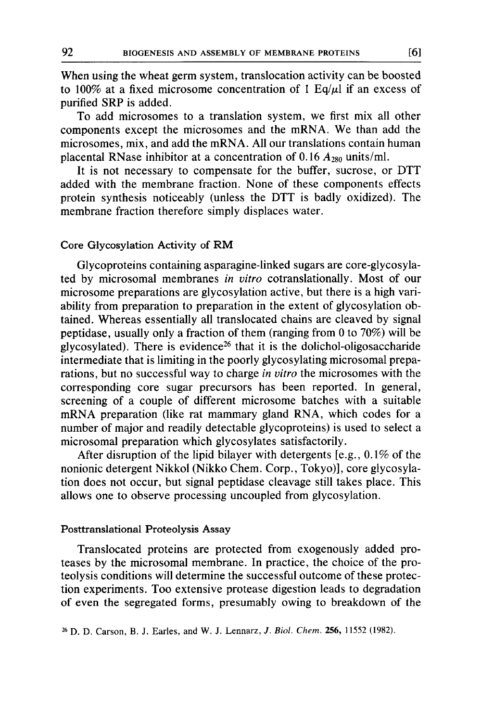When using the wheat germ system, translocation activity can be boosted to 100% at a fixed microsome concentration of 1 Eq/ $\mu$ l if an excess of purified SRP is added.

To add microsomes to a translation system, we first mix all other components except the microsomes and the mRNA. We than add the microsomes, mix, and add the mRNA. All our translations contain human placental RNase inhibitor at a concentration of 0.16  $A_{280}$  units/ml.

It is not necessary to compensate for the buffer, sucrose, or DTT added with the membrane fraction. None of these components effects protein synthesis noticeably (unless the DTT is badly oxidized). The membrane fraction therefore simply displaces water.

#### Core Glycosylation Activity of RM

Glycoproteins containing asparagine-linked sugars are core-glycosylated by microsomal membranes *in vitro* cotranslationally. Most of our microsome preparations are glycosylation active, but there is a high variability from preparation to preparation in the extent of glycosylation obtained. Whereas essentially all translocated chains are cleaved by signal peptidase, usually only a fraction of them (ranging from 0 to 70%) will be glycosylated). There is evidence<sup>26</sup> that it is the dolichol-oligosaccharide intermediate that is limiting in the poorly glycosylating microsomal preparations, but no successful way to charge *in vitro* the microsomes with the corresponding core sugar precursors has been reported. In general, screening of a couple of different microsome batches with a suitable mRNA preparation (like rat mammary gland RNA, which codes for a number of major and readily detectable glycoproteins) is used to select a microsomal preparation which glycosylates satisfactorily.

After disruption of the lipid bilayer with detergents [e.g., 0.1% of the nonionic detergent Nikkol (Nikko Chem. Corp., Tokyo)], core glycosylation does not occur, but signal peptidase cleavage still takes place. This allows one to observe processing uncoupled from glycosylation.

#### Posttranslational Proteolysis **Assay**

Translocated proteins are protected from exogenously added proteases by the microsomal membrane. In practice, the choice of the proteolysis conditions will determine the successful outcome of these protection experiments. Too extensive protease digestion leads to degradation of even the segregated forms, presumably owing to breakdown of the

26 D. D. Carson, B. J. Earles, and W. J. Lennarz, *J. Biol. Chem.* 256, 11552 (1982).